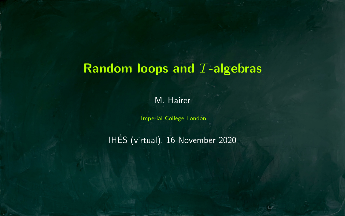## Random loops and T-algebras

M. Hairer

Imperial College London

IHÉS (virtual), 16 November 2020

 $\overline{C}$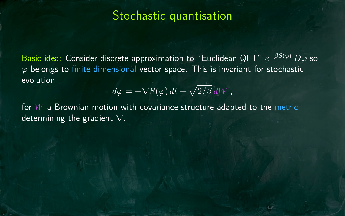#### Stochastic quantisation

Basic idea: Consider discrete approximation to "Euclidean QFT"  $\,e^{-\beta S(\varphi)}\,D\varphi$  so  $\varphi$  belongs to finite-dimensional vector space. This is invariant for stochastic evolution

$$
d\varphi=-\nabla S(\varphi)\,dt+\sqrt{2/\beta}\,dW\;,
$$

for  $W$  a Brownian motion with covariance structure adapted to the metric determining the gradient  $\nabla$ .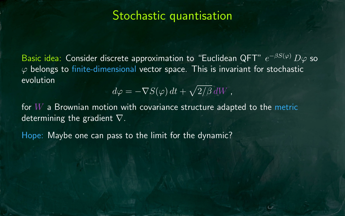#### Stochastic quantisation

Basic idea: Consider discrete approximation to "Euclidean QFT"  $\,e^{-\beta S(\varphi)}\,D\varphi$  so  $\varphi$  belongs to finite-dimensional vector space. This is invariant for stochastic evolution

$$
d\varphi=-\nabla S(\varphi)\,dt+\sqrt{2/\beta}\,dW\;,
$$

for  $W$  a Brownian motion with covariance structure adapted to the metric determining the gradient  $\nabla$ .

Hope: Maybe one can pass to the limit for the dynamic?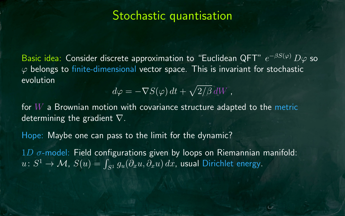#### Stochastic quantisation

Basic idea: Consider discrete approximation to "Euclidean QFT"  $\,e^{-\beta S(\varphi)}\,D\varphi$  so  $\varphi$  belongs to finite-dimensional vector space. This is invariant for stochastic evolution

$$
d\varphi=-\nabla S(\varphi)\,dt+\sqrt{2/\beta}\,dW\;,
$$

for  $W$  a Brownian motion with covariance structure adapted to the metric determining the gradient  $\nabla$ .

Hope: Maybe one can pass to the limit for the dynamic?

 $1D\sigma$ -model: Field configurations given by loops on Riemannian manifold:  $u\colon S^1\to \mathcal{M},\, S(u)=\int_{S^1}g_u(\partial_xu,\partial_xu)\,dx,$  usual Dirichlet energy.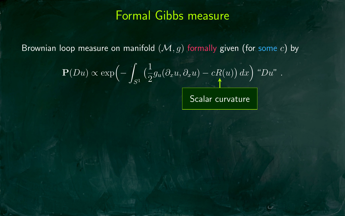### Formal Gibbs measure

Brownian loop measure on manifold  $(M, g)$  formally given (for some c) by

$$
\mathbf{P}(Du) \propto \exp\left(-\int_{S^1} \left(\frac{1}{2}g_u(\partial_x u, \partial_x u) - cR(u)\right)dx\right) \,^{\omega}Du''.
$$

Scalar curvature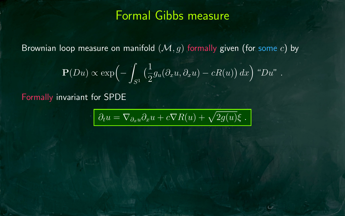### Formal Gibbs measure

Brownian loop measure on manifold  $(M, g)$  formally given (for some c) by

$$
\mathbf{P}(Du) \propto \exp\left(-\int_{S^1} \left(\frac{1}{2}g_u(\partial_x u, \partial_x u) - cR(u)\right) dx\right) \,^{\mu}Du''.
$$

Formally invariant for SPDE

$$
\partial_t u = \nabla_{\partial_x u} \partial_x u + c \nabla R(u) + \sqrt{2g(u)} \xi.
$$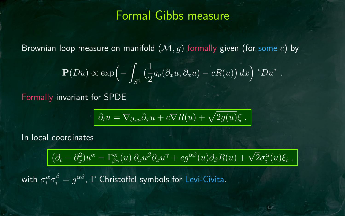### Formal Gibbs measure

Brownian loop measure on manifold  $(M, q)$  formally given (for some c) by

$$
\mathbf{P}(Du) \propto \exp\left(-\int_{S^1} \left(\frac{1}{2}g_u(\partial_x u, \partial_x u) - cR(u)\right) dx\right) \,^{\mu}Du''.
$$

Formally invariant for SPDE

$$
\partial_t u = \nabla_{\partial_x u} \partial_x u + c \nabla R(u) + \sqrt{2g(u)} \xi.
$$

In local coordinates

$$
\overline{(\partial_t - \partial_x^2)u^{\alpha} = \Gamma^{\alpha}_{\beta\gamma}(u)\,\partial_x u^{\beta}\partial_x u^{\gamma} + cg^{\alpha\beta}(u)\partial_{\beta}R(u) + \sqrt{2}\sigma_i^{\alpha}(u)\xi_i} \, ,
$$

with  $\sigma_i^\alpha \sigma_i^\beta = g^{\alpha \beta}$ ,  $\Gamma$  Christoffel symbols for Levi-Civita.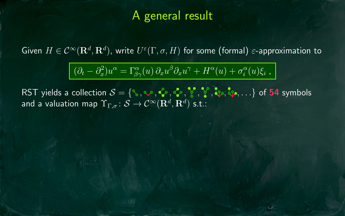Given  $H\in\mathcal{C}^\infty(\mathbf{R}^d,\mathbf{R}^d)$ , write  $U^\varepsilon(\Gamma,\sigma,H)$  for some (formal)  $\varepsilon$ -approximation to

$$
(\partial_t - \partial_x^2)u^\alpha = \Gamma^\alpha_{\beta\gamma}(u)\,\partial_x u^\beta \partial_x u^\gamma + H^\alpha(u) + \sigma_i^\alpha(u)\xi_i \;,
$$

RST yields a collection  $S = \{\{\,^\circ\}, \circ\circ\}, \circ\circ\cdot\}, \circ\cdot\}, \circ\circ\circ\cdot\cdot\}$  of 54 symbols and a valuation map  $\Upsilon_{\Gamma,\sigma}\colon \mathcal{S}\to \mathcal{C}^\infty(\mathbf{R}^d,\mathbf{R}^d)$  s.t.: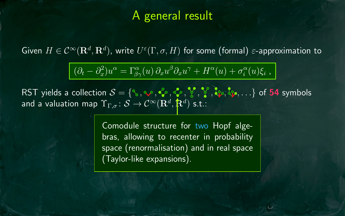Given  $H\in\mathcal{C}^\infty(\mathbf{R}^d,\mathbf{R}^d)$ , write  $U^\varepsilon(\Gamma,\sigma,H)$  for some (formal)  $\varepsilon$ -approximation to

$$
(\partial_t - \partial_x^2)u^{\alpha} = \Gamma^{\alpha}_{\beta\gamma}(u)\,\partial_x u^{\beta}\partial_x u^{\gamma} + H^{\alpha}(u) + \sigma_i^{\alpha}(u)\xi_i,
$$

RST yields a collection  $S = \{\{\,^\circ\}, \circ\circ\}, \circ\circ\cdot\}, \circ\circ\cdot\}, \circ\circ\circ\cdot\cdot\}$  of 54 symbols and a valuation map  $\Upsilon_{\Gamma,\sigma}\colon \mathcal{S}\to \mathcal{C}^\infty(\mathbf{R}^d,\mathbf{R}^d)$  s.t.:

> Comodule structure for two Hopf algebras, allowing to recenter in probability space (renormalisation) and in real space (Taylor-like expansions).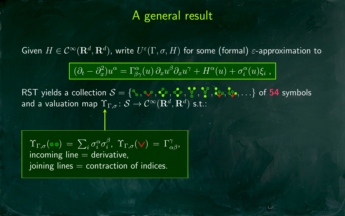Given  $H\in\mathcal{C}^\infty(\mathbf{R}^d,\mathbf{R}^d)$ , write  $U^\varepsilon(\Gamma,\sigma,H)$  for some (formal)  $\varepsilon$ -approximation to

$$
(\partial_t - \partial_x^2)u^{\alpha} = \Gamma^{\alpha}_{\beta\gamma}(u)\,\partial_x u^{\beta}\partial_x u^{\gamma} + H^{\alpha}(u) + \sigma_i^{\alpha}(u)\xi_i,
$$

RST yields a collection  $S = \{ \cdot, \cdot, \cdot \}$ ,  $\cdot \cdot \}$ ,  $\cdot \cdot \}$ ,  $\cdot \cdot \cdot$ ,  $\cdot \cdot \cdot$ , of 54 symbols and a valuation map  $\Upsilon_{\Gamma,\sigma}\colon \mathcal{S}\to \mathcal{C}^\infty(\mathbf{R}^d,\mathbf{R}^d)$  s.t.:

 $\Upsilon_{\Gamma, \sigma}(\circ\circ) \;=\; \sum_i \sigma_i^{\alpha} \sigma_i^{\beta}$  $_{i}^{\beta},\,\, \Upsilon_{\Gamma,\sigma}(\bigvee)\,=\,\Gamma_{\alpha\beta}^{\gamma},$ incoming line  $=$  derivative, joining lines  $=$  contraction of indices.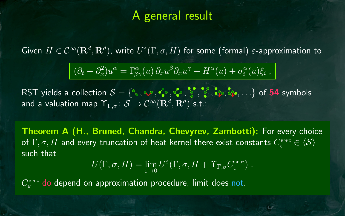Given  $H\in\mathcal{C}^\infty(\mathbf{R}^d,\mathbf{R}^d)$ , write  $U^\varepsilon(\Gamma,\sigma,H)$  for some (formal)  $\varepsilon$ -approximation to

$$
(\partial_t - \partial_x^2)u^\alpha = \Gamma^\alpha_{\beta\gamma}(u)\,\partial_x u^\beta \partial_x u^\gamma + H^\alpha(u) + \sigma_i^\alpha(u)\xi_i \;.
$$

RST yields a collection  $S = \{ \cdot, \cdot, \cdot \}$ ,  $\cdot \cdot \}$ ,  $\cdot \cdot \}$ ,  $\cdot \cdot \cdot$ ,  $\cdot \cdot \cdot$ , of 54 symbols and a valuation map  $\Upsilon_{\Gamma,\sigma}\colon \mathcal{S} \rightarrow \mathcal{C}^\infty(\mathbf{R}^d,\mathbf{R}^d)$  s.t.:

Theorem A (H., Bruned, Chandra, Chevyrev, Zambotti): For every choice of  $\Gamma,\sigma,H$  and every truncation of heat kernel there exist constants  $C^{\text{\tiny BPIZ}}_\varepsilon\in\langle\mathcal{S}\rangle$ such that

$$
U(\Gamma, \sigma, H) = \lim_{\varepsilon \to 0} U^{\varepsilon}(\Gamma, \sigma, H + \Upsilon_{\Gamma, \sigma} C_{\varepsilon}^{\text{BPIZ}}).
$$

 $C_{\varepsilon}^{\text{\tiny BPRZ}}$  do depend on approximation procedure, limit does not.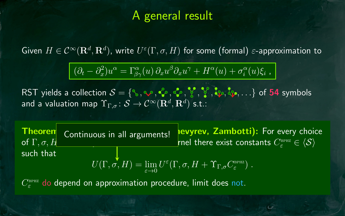Given  $H\in\mathcal{C}^\infty(\mathbf{R}^d,\mathbf{R}^d)$ , write  $U^\varepsilon(\Gamma,\sigma,H)$  for some (formal)  $\varepsilon$ -approximation to

$$
(\partial_t - \partial_x^2) u^\alpha = \Gamma^\alpha_{\beta\gamma}(u) \, \partial_x u^\beta \partial_x u^\gamma + H^\alpha(u) + \sigma_i^\alpha(u) \xi_i \; .
$$

RST yields a collection  $S = \{ \cdot, \cdot, \cdot \}$ ,  $\cdot \cdot \}$ ,  $\cdot \cdot \}$ ,  $\cdot \cdot \cdot$ ,  $\cdot \cdot \cdot$ , of 54 symbols and a valuation map  $\Upsilon_{\Gamma,\sigma}\colon \mathcal{S} \rightarrow \mathcal{C}^\infty(\mathbf{R}^d,\mathbf{R}^d)$  s.t.:

**Theorem** Continuous in all arguments **Jevyrev, Zambotti):** For every choice of  $\Gamma, \sigma, H$  and there exist constants  $C_{\varepsilon}^{\text{\tiny BPIZ}} \in \langle \mathcal{S} \rangle$ such that  $U(\Gamma,\sigma,H)=\lim_{\varepsilon\to 0}U^\varepsilon(\Gamma,\sigma,H+\Upsilon_{\Gamma,\sigma}C^{\tiny\rm BPIZ})\;.$ Continuous in all arguments!

 $C_{\varepsilon}^{\text{\tiny BPRZ}}$  do depend on approximation procedure, limit does not.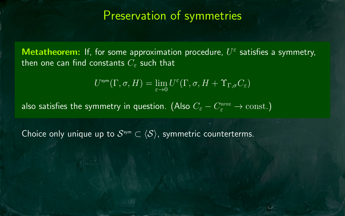#### Preservation of symmetries

Metatheorem: If, for some approximation procedure,  $U^{\varepsilon}$  satisfies a symmetry, then one can find constants  $C_{\varepsilon}$  such that

$$
U^{\rm sym}(\Gamma,\sigma,H)=\lim_{\varepsilon\to 0}U^\varepsilon(\Gamma,\sigma,H+\Upsilon_{\Gamma,\sigma}C_\varepsilon)
$$

also satisfies the symmetry in question. (Also  $C_\varepsilon - C_\varepsilon^\text{\tiny BPIZ} \to \text{const.})$ 

Choice only unique up to  $S^{\text{sym}} \subset \langle S \rangle$ , symmetric counterterms.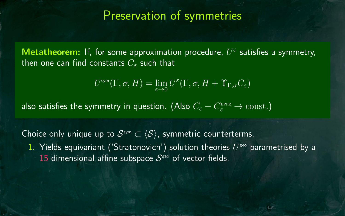#### Preservation of symmetries

Metatheorem: If, for some approximation procedure,  $U^{\varepsilon}$  satisfies a symmetry, then one can find constants  $C_{\varepsilon}$  such that

$$
U^{\rm sym}(\Gamma,\sigma,H)=\lim_{\varepsilon\to 0}U^\varepsilon(\Gamma,\sigma,H+\Upsilon_{\Gamma,\sigma}C_\varepsilon)
$$

also satisfies the symmetry in question. (Also  $C_\varepsilon - C_\varepsilon^\text{\tiny BPIZ} \to \text{const.})$ 

Choice only unique up to  $S^{\text{sym}} \subset \langle S \rangle$ , symmetric counterterms.

1. Yields equivariant ('Stratonovich') solution theories  $U^{\rm geo}$  parametrised by a 15-dimensional affine subspace  $S<sup>geo</sup>$  of vector fields.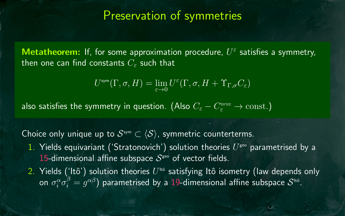#### Preservation of symmetries

Metatheorem: If, for some approximation procedure,  $U^{\varepsilon}$  satisfies a symmetry, then one can find constants  $C_{\varepsilon}$  such that

$$
U^{\text{sym}}(\Gamma, \sigma, H) = \lim_{\varepsilon \to 0} U^{\varepsilon}(\Gamma, \sigma, H + \Upsilon_{\Gamma, \sigma} C_{\varepsilon})
$$

also satisfies the symmetry in question. (Also  $C_\varepsilon - C_\varepsilon^\text{\tiny BPIZ} \to \text{const.})$ 

Choice only unique up to  $S^{\text{sym}} \subset \langle S \rangle$ , symmetric counterterms.

- 1. Yields equivariant ('Stratonovich') solution theories  $U^{\rm geo}$  parametrised by a 15-dimensional affine subspace  $S<sup>geo</sup>$  of vector fields.
- $2. \,$  Yields ('Itô') solution theories  $U^{\text{\tiny{It\hat{o}}}}$  satisfying Itô isometry (law depends only on  $\sigma_i^\alpha\sigma_i^\beta=g^{\alpha\beta})$  parametrised by a  $19$ -dimensional affine subspace  ${\cal S}^{\scriptscriptstyle \rm t\dot\circ}.$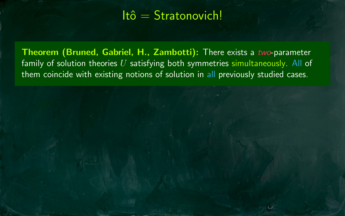### $Itô = Stratonovich!$

**Theorem (Bruned, Gabriel, H., Zambotti):** There exists a *two*-parameter family of solution theories  $U$  satisfying both symmetries simultaneously. All of them coincide with existing notions of solution in all previously studied cases.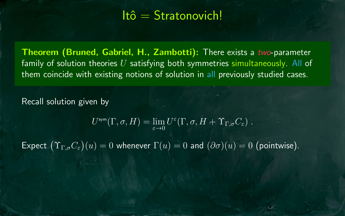### $Itô = Stratonovich!$

**Theorem (Bruned, Gabriel, H., Zambotti):** There exists a *two*-parameter family of solution theories  $\overline{U}$  satisfying both symmetries simultaneously. All of them coincide with existing notions of solution in all previously studied cases.

Recall solution given by

$$
U^{\text{sym}}(\Gamma, \sigma, H) = \lim_{\varepsilon \to 0} U^{\varepsilon}(\Gamma, \sigma, H + \Upsilon_{\Gamma, \sigma} C_{\varepsilon}) \ .
$$

Expect  $(\Upsilon_{\Gamma,\sigma} C_{\varepsilon})(u) = 0$  whenever  $\Gamma(u) = 0$  and  $(\partial \sigma)(u) = 0$  (pointwise).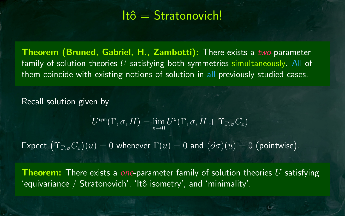### $Itô = Stratonovich!$

Theorem (Bruned, Gabriel, H., Zambotti): There exists a two-parameter family of solution theories  $U$  satisfying both symmetries simultaneously. All of them coincide with existing notions of solution in all previously studied cases.

Recall solution given by

$$
U^{\text{sym}}(\Gamma, \sigma, H) = \lim_{\varepsilon \to 0} U^{\varepsilon}(\Gamma, \sigma, H + \Upsilon_{\Gamma, \sigma} C_{\varepsilon}) \ .
$$

Expect  $(\Upsilon_{\Gamma,\sigma} C_{\varepsilon})(u) = 0$  whenever  $\Gamma(u) = 0$  and  $(\partial \sigma)(u) = 0$  (pointwise).

**Theorem:** There exists a *one*-parameter family of solution theories U satisfying 'equivariance / Stratonovich', 'Itô isometry', and 'minimality'.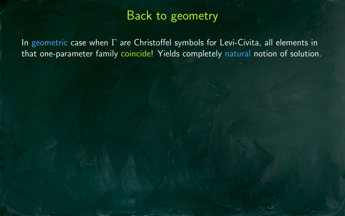### Back to geometry

In geometric case when Γ are Christoffel symbols for Levi-Civita, all elements in that one-parameter family coincide! Yields completely natural notion of solution.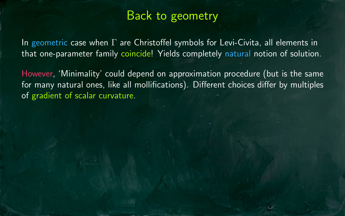### Back to geometry

In geometric case when Γ are Christoffel symbols for Levi-Civita, all elements in that one-parameter family coincide! Yields completely natural notion of solution.

However, 'Minimality' could depend on approximation procedure (but is the same for many natural ones, like all mollifications). Different choices differ by multiples of gradient of scalar curvature.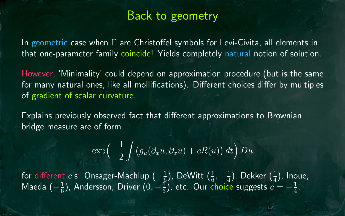### Back to geometry

In geometric case when Γ are Christoffel symbols for Levi-Civita, all elements in that one-parameter family coincide! Yields completely natural notion of solution.

However, 'Minimality' could depend on approximation procedure (but is the same for many natural ones, like all mollifications). Different choices differ by multiples of gradient of scalar curvature.

Explains previously observed fact that different approximations to Brownian bridge measure are of form

$$
\exp\left(-\frac{1}{2}\int \big(g_u(\partial_x u, \partial_x u) + cR(u)\big)\,dt\right)Du
$$

for different  $c$ 's: Onsager-Machlup ( $-\frac{1}{6}$  $(\frac{1}{6}),$  DeWitt  $(\frac{1}{6},-\frac{1}{4})$  $(\frac{1}{4})$ , Dekker  $(\frac{1}{4})$ , Inoue, Maeda ( $-\frac{1}{6}$  $\frac{1}{6}$ ), Andersson, Driver  $(0,-\frac{1}{3})$  $\frac{1}{3}$ ), etc. Our choice suggests  $c=-\frac{1}{4}$  $\frac{1}{4}$  .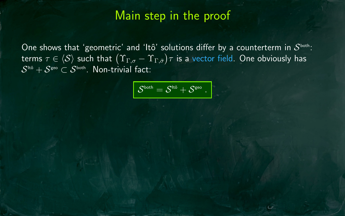#### Main step in the proof

One shows that 'geometric' and 'Itô' solutions differ by a counterterm in  $\mathcal{S}^\text{bott}$ : terms  $\tau\in \langle \mathcal{S}\rangle$  such that  $\big(\Upsilon_{\Gamma,\sigma}-\Upsilon_{\Gamma,\bar{\sigma}}\big)\tau$  is a vector field. One obviously has  $\mathcal{S}^{\scriptscriptstyle\mathsf{lt} 0}+\mathcal{S}^{\scriptscriptstyle\mathsf{geo}}\subset\mathcal{S}^{\scriptscriptstyle\mathsf{both}}$ . Non-trivial fact:

$$
\mathcal{S}^{\text{both}} = \mathcal{S}^{\text{ltô}} + \mathcal{S}^{\text{geo}}.
$$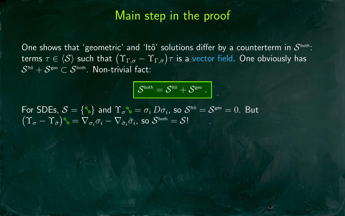#### Main step in the proof

One shows that 'geometric' and 'Itô' solutions differ by a counterterm in  $\mathcal{S}^\text{bott}$ : terms  $\tau\in \langle \mathcal{S}\rangle$  such that  $\big(\Upsilon_{\Gamma,\sigma}-\Upsilon_{\Gamma,\bar{\sigma}}\big)\tau$  is a vector field. One obviously has  $\mathcal{S}^{\scriptscriptstyle\mathsf{lt} 0}+\mathcal{S}^{\scriptscriptstyle\mathsf{geo}}\subset\mathcal{S}^{\scriptscriptstyle\mathsf{both}}$ . Non-trivial fact:

$$
\mathcal{S}^{\text{both}} = \mathcal{S}^{\text{ltô}} + \mathcal{S}^{\text{geo}}.
$$

For SDEs,  $\mathcal{S}=\{\mathbb{s}\}$  and  $\Upsilon_\sigma\mathbb{s}=\sigma_i\,D\sigma_i$ , so  $\mathcal{S}^{\mathrm{lt\hat{o}}}=\mathcal{S}^{\mathrm{geo}}=0.$  But  $\big(\Upsilon_{\sigma}-\Upsilon_{\bar\sigma}\big)^{\circ}{}_{\!\!\circ}=\nabla_{\sigma_i}\sigma_i-\nabla_{\bar\sigma_i}\bar\sigma_i$ , so  $\mathcal{S}^{\text{both}}=\mathcal{S}!$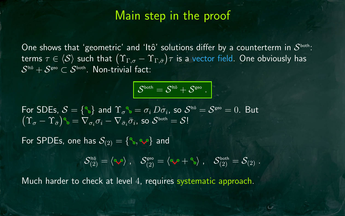#### Main step in the proof

One shows that 'geometric' and 'Itô' solutions differ by a counterterm in  $\mathcal{S}^\text{bott}$ : terms  $\tau\in \langle \mathcal{S}\rangle$  such that  $\big(\Upsilon_{\Gamma,\sigma}-\Upsilon_{\Gamma,\bar{\sigma}}\big)\tau$  is a vector field. One obviously has  $\mathcal{S}^{\scriptscriptstyle\mathsf{lt} 0}+\mathcal{S}^{\scriptscriptstyle\mathsf{geo}}\subset\mathcal{S}^{\scriptscriptstyle\mathsf{both}}$ . Non-trivial fact:

$$
\mathcal{S}^{\text{both}} = \mathcal{S}^{\text{ltô}} + \mathcal{S}^{\text{geo}}.
$$

For SDEs,  $\mathcal{S}=\{\mathbb{s}\}$  and  $\Upsilon_\sigma\mathbb{s}=\sigma_i\,D\sigma_i$ , so  $\mathcal{S}^{\mathrm{lt\hat{o}}}=\mathcal{S}^{\mathrm{geo}}=0.$  But  $\big(\Upsilon_{\sigma}-\Upsilon_{\bar\sigma}\big)^{\circ}{}_{\!\!\circ}=\nabla_{\sigma_i}\sigma_i-\nabla_{\bar\sigma_i}\bar\sigma_i$ , so  $\mathcal{S}^{\text{both}}=\mathcal{S}!$ 

For SPDEs, one has  $S_{(2)} = \{ \{ \{ \} , \{ \} \} \}$  and

 $\mathcal{S}^{\rm tto}_{(2)}=\langle\textcolor{red}{\bullet}\textcolor{red}{\diamond}\rangle\;,\quad \mathcal{S}^{\rm geo}_{(2)}=\langle\textcolor{red}{\bullet}\textcolor{red}{\bullet}+\textcolor{red}{^o}\textcolor{red}{\diamond}\rangle\;,\quad \mathcal{S}^{\rm both}_{(2)}=\mathcal{S}_{(2)}\;.$ 

Much harder to check at level 4, requires systematic approach.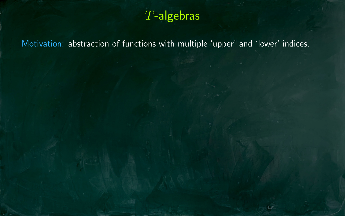$T$ -algebras

 $\omega$ 

#### Motivation: abstraction of functions with multiple 'upper' and 'lower' indices.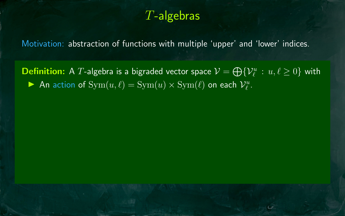### $T$ -algebras

Motivation: abstraction of functions with multiple 'upper' and 'lower' indices.

**Definition:** A  $T$ -algebra is a bigraded vector space  $\mathcal{V} = \bigoplus \{ \mathcal{V}_{\ell}^u \, : \, u, \ell \geq 0 \}$  with An action of  $\text{Sym}(u, \ell) = \text{Sym}(u) \times \text{Sym}(\ell)$  on each  $\mathcal{V}_{\ell}^u$ .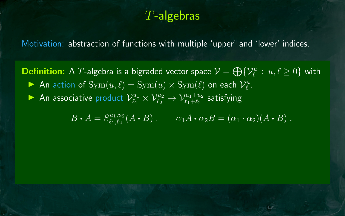### $T$ -algebras

Motivation: abstraction of functions with multiple 'upper' and 'lower' indices.

**Definition:** A  $T$ -algebra is a bigraded vector space  $\mathcal{V} = \bigoplus \{ \mathcal{V}_{\ell}^u \, : \, u, \ell \geq 0 \}$  with An action of  $\text{Sym}(u, \ell) = \text{Sym}(u) \times \text{Sym}(\ell)$  on each  $\mathcal{V}_{\ell}^u$ .

An associative product  $\mathcal{V}^{u_1}_{\ell_1}\times \mathcal{V}^{u_2}_{\ell_2}\to \mathcal{V}^{u_1+u_2}_{\ell_1+\ell_2}$  satisfying

 $B \cdot A = S^{u_1, u_2}_{\ell_1, \ell_2}$  $\alpha_{1,}^{u_{1},u_{2}}(A \cdot B)$ ,  $\alpha_{1}A \cdot \alpha_{2}B = (\alpha_{1} \cdot \alpha_{2})(A \cdot B)$ .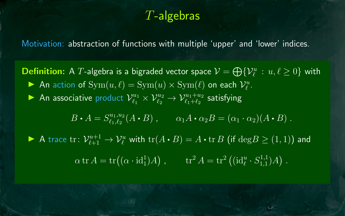### $T$ -algebras

Motivation: abstraction of functions with multiple 'upper' and 'lower' indices.

**Definition:** A  $T$ -algebra is a bigraded vector space  $\mathcal{V} = \bigoplus \{ \mathcal{V}_{\ell}^u \, : \, u, \ell \geq 0 \}$  with An action of  $\text{Sym}(u, \ell) = \text{Sym}(u) \times \text{Sym}(\ell)$  on each  $\mathcal{V}_{\ell}^u$ .

An associative product  $\mathcal{V}^{u_1}_{\ell_1}\times \mathcal{V}^{u_2}_{\ell_2}\to \mathcal{V}^{u_1+u_2}_{\ell_1+\ell_2}$  satisfying

 $B \cdot A = S^{u_1, u_2}_{\ell_1, \ell_2}$  $\alpha_{1,}^{u_{1},u_{2}}(A \cdot B)$ ,  $\alpha_{1}A \cdot \alpha_{2}B = (\alpha_{1} \cdot \alpha_{2})(A \cdot B)$ .

A trace  $\mathrm{tr}\colon \mathcal{V}^{u+1}_{\ell+1}\to \mathcal{V}^u_{\ell}$  with  $\mathrm{tr}(A\bm{\cdot} B)=A\bm{\cdot}\mathrm{tr}\, B$  (if  $\mathrm{deg} B\geq (1,1)$ ) and

 $\alpha\,\mathrm{tr}\,A = \mathrm{tr}\bigl((\alpha\cdot\mathrm{id}_1^1)A\bigr) \;,\qquad \mathrm{tr}^2\,A = \mathrm{tr}^2\,\bigl((\mathrm{id}_\ell^u\cdot S_{1,1}^{1,1})$  $\binom{1,1}{1,1}$ A).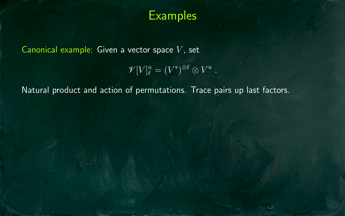### **Examples**

Canonical example: Given a vector space  $V$ , set

 $\mathscr{V}[V]^u_{\ell} = (V^*)^{\otimes \ell} \otimes V^u.$ 

 $\overline{C}$ 

Natural product and action of permutations. Trace pairs up last factors.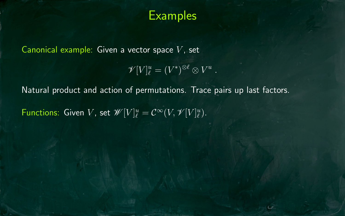### **Examples**

Canonical example: Given a vector space  $V$ , set

 $\mathscr{V}[V]^u_{\ell} = (V^*)^{\otimes \ell} \otimes V^u.$ 

 $\mathbb{C}$ 

Natural product and action of permutations. Trace pairs up last factors.

Functions: Given V, set  $\mathscr{W}[V]_{\ell}^u = \mathcal{C}^{\infty}(V, \mathscr{V}[V]_{\ell}^u)$ .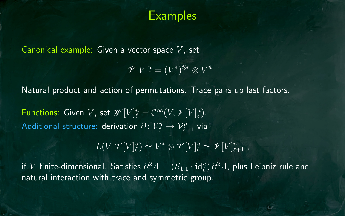### **Examples**

Canonical example: Given a vector space  $V$ , set

 $\mathscr{V}[V]^u_{\ell} = (V^*)^{\otimes \ell} \otimes V^u.$ 

Natural product and action of permutations. Trace pairs up last factors.

Functions: Given V, set  $\mathscr{W}[V]_{\ell}^u = \mathcal{C}^{\infty}(V, \mathscr{V}[V]_{\ell}^u)$ . Additional structure: derivation  $\partial\colon \mathcal{V}^u_{\ell} \to \mathcal{V}^u_{\ell+1}$  via

 $L(V, \mathscr{V}[V]^u) \simeq V^* \otimes \mathscr{V}[V]^u_{\ell} \simeq \mathscr{V}[V]^u_{\ell+1}$ ,

if  $V$  finite-dimensional. Satisfies  $\partial^2 A = (S_{1,1} \cdot \mathrm{id}_\ell^u) \, \partial^2 A$ , plus Leibniz rule and natural interaction with trace and symmetric group.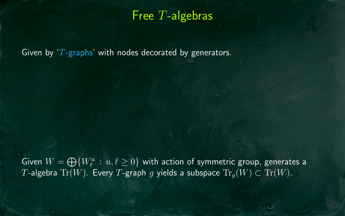### Free T-algebras

Given by 'T-graphs' with nodes decorated by generators.

Given  $W = \bigoplus \{W^u_\ell \, : \, u, \ell \geq 0\}$  with action of symmetric group, generates a T-algebra Tr(W). Every T-graph q yields a subspace  $\text{Tr}_q(W) \subset \text{Tr}(W)$ .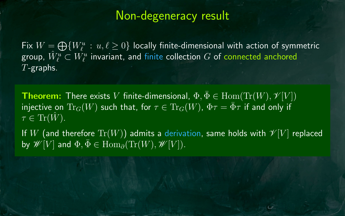### Non-degeneracy result

Fix  $W = \bigoplus \{W_\ell^u \, : \, u, \ell \geq 0\}$  locally finite-dimensional with action of symmetric group,  $\hat{W}_{\ell}^u \subset W_{\ell}^u$  invariant, and finite collection  $G$  of connected anchored  $T$ -graphs.

**Theorem:** There exists V finite-dimensional,  $\Phi$ ,  $\bar{\Phi} \in \text{Hom}(\text{Tr}(W), \mathcal{V}[V])$ injective on  $\text{Tr}_G(W)$  such that, for  $\tau \in \text{Tr}_G(W)$ ,  $\Phi \tau = \bar{\Phi} \tau$  if and only if  $\tau \in \text{Tr}(\hat{W})$ . If W (and therefore  $Tr(W)$ ) admits a derivation, same holds with  $\mathscr{V}[V]$  replaced

by  $\mathscr{W}[V]$  and  $\Phi, \overline{\Phi} \in \text{Hom}_{\partial}(\text{Tr}(W), \mathscr{W}[V])$ .

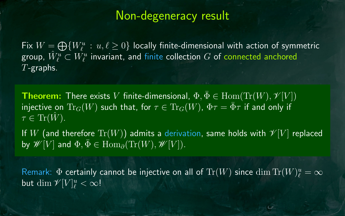### Non-degeneracy result

Fix  $W = \bigoplus \{W_\ell^u \, : \, u, \ell \geq 0\}$  locally finite-dimensional with action of symmetric group,  $\hat{W}_{\ell}^u \subset W_{\ell}^u$  invariant, and finite collection  $G$  of connected anchored  $T$ -graphs.

**Theorem:** There exists V finite-dimensional,  $\Phi$ ,  $\bar{\Phi} \in \text{Hom}(\text{Tr}(W), \mathcal{V}[V])$ injective on  $\text{Tr}_G(W)$  such that, for  $\tau \in \text{Tr}_G(W)$ ,  $\Phi \tau = \bar{\Phi} \tau$  if and only if  $\tau \in \text{Tr}(\hat{W})$ .

If W (and therefore  $Tr(W)$ ) admits a derivation, same holds with  $\mathscr{V}[V]$  replaced by  $\mathscr{W}[V]$  and  $\Phi, \overline{\Phi} \in \text{Hom}_{\partial}(\text{Tr}(W), \mathscr{W}[V])$ .

Remark:  $\Phi$  certainly cannot be injective on all of  $\text{Tr}(W)$  since  $\dim \text{Tr}(W)^u_\ell = \infty$ but  $\dim \mathscr{V}[V]^u_\ell < \infty!$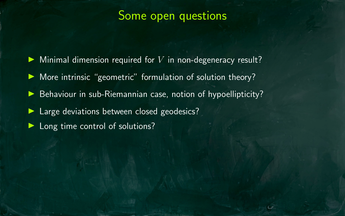### Some open questions

 $\triangleright$  Minimal dimension required for V in non-degeneracy result?  $\triangleright$  More intrinsic "geometric" formulation of solution theory?  $\triangleright$  Behaviour in sub-Riemannian case, notion of hypoellipticity? Large deviations between closed geodesics? Long time control of solutions?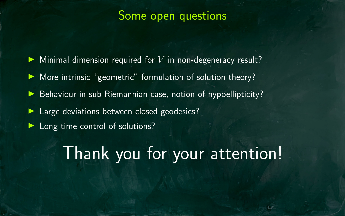### Some open questions

Minimal dimension required for  $V$  in non-degeneracy result? More intrinsic "geometric" formulation of solution theory? Behaviour in sub-Riemannian case, notion of hypoellipticity? Large deviations between closed geodesics? Long time control of solutions?

# Thank you for your attention!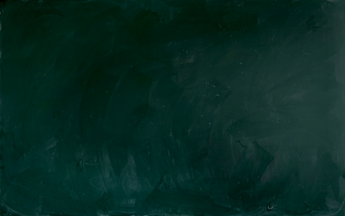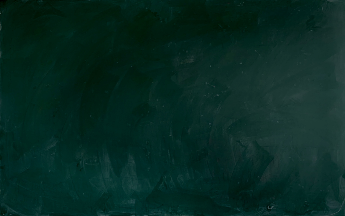